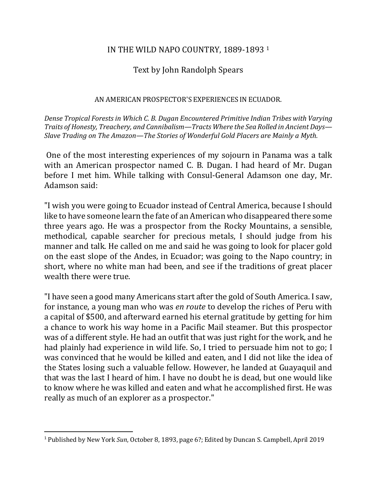### IN THE WILD NAPO COUNTRY, 1889-1893 <sup>1</sup>

# Text by John Randolph Spears

#### AN AMERICAN PROSPECTOR'S EXPERIENCES IN ECUADOR.

Dense Tropical Forests in Which C. B. Dugan Encountered Primitive Indian Tribes with Varying *Traits of Honesty, Treachery, and Cannibalism—Tracts Where the Sea Rolled in Ancient Days— Slave Trading on The Amazon—The Stories of Wonderful Gold Placers are Mainly a Myth.* 

One of the most interesting experiences of my sojourn in Panama was a talk with an American prospector named C. B. Dugan. I had heard of Mr. Dugan before I met him. While talking with Consul-General Adamson one day, Mr. Adamson said:

"I wish you were going to Ecuador instead of Central America, because I should like to have someone learn the fate of an American who disappeared there some three years ago. He was a prospector from the Rocky Mountains, a sensible, methodical, capable searcher for precious metals, I should judge from his manner and talk. He called on me and said he was going to look for placer gold on the east slope of the Andes, in Ecuador; was going to the Napo country; in short, where no white man had been, and see if the traditions of great placer wealth there were true.

"I have seen a good many Americans start after the gold of South America. I saw, for instance, a young man who was *en route* to develop the riches of Peru with a capital of \$500, and afterward earned his eternal gratitude by getting for him a chance to work his way home in a Pacific Mail steamer. But this prospector was of a different style. He had an outfit that was just right for the work, and he had plainly had experience in wild life. So, I tried to persuade him not to go; I was convinced that he would be killed and eaten, and I did not like the idea of the States losing such a valuable fellow. However, he landed at Guayaquil and that was the last I heard of him. I have no doubt he is dead, but one would like to know where he was killed and eaten and what he accomplished first. He was really as much of an explorer as a prospector."

<sup>&</sup>lt;sup>1</sup> Published by New York *Sun*, October 8, 1893, page 6?; Edited by Duncan S. Campbell, April 2019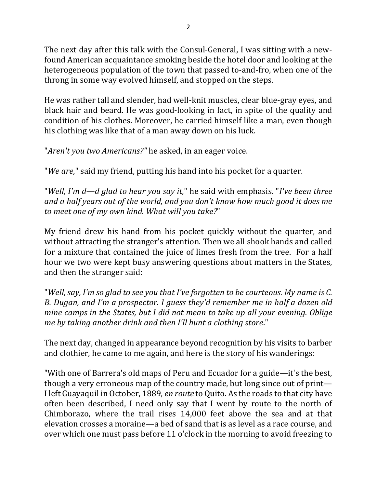The next day after this talk with the Consul-General, I was sitting with a newfound American acquaintance smoking beside the hotel door and looking at the heterogeneous population of the town that passed to-and-fro, when one of the throng in some way evolved himself, and stopped on the steps.

He was rather tall and slender, had well-knit muscles, clear blue-gray eyes, and black hair and beard. He was good-looking in fact, in spite of the quality and condition of his clothes. Moreover, he carried himself like a man, even though his clothing was like that of a man away down on his luck.

"*Aren't you two Americans?"* he asked, in an eager voice.

"*We are*," said my friend, putting his hand into his pocket for a quarter.

*"Well, I'm d—d glad to hear you say it*," he said with emphasis. "*I've been three* and a half years out of the world, and you don't know how much good it does me to meet one of my own kind. What will you take?"

My friend drew his hand from his pocket quickly without the quarter, and without attracting the stranger's attention. Then we all shook hands and called for a mixture that contained the juice of limes fresh from the tree. For a half hour we two were kept busy answering questions about matters in the States, and then the stranger said:

"Well, say, I'm so glad to see you that I've forgotten to be courteous. My name is C. *B.* Dugan, and I'm a prospector. I guess they'd remember me in half a dozen old *mine camps in the States, but I did not mean to take up all your evening. Oblige me by taking another drink and then I'll hunt a clothing store."* 

The next day, changed in appearance beyond recognition by his visits to barber and clothier, he came to me again, and here is the story of his wanderings:

"With one of Barrera's old maps of Peru and Ecuador for a guide—it's the best, though a very erroneous map of the country made, but long since out of print— I left Guayaquil in October, 1889, *en route* to Quito. As the roads to that city have often been described, I need only say that I went by route to the north of Chimborazo, where the trail rises 14,000 feet above the sea and at that elevation crosses a moraine—a bed of sand that is as level as a race course, and over which one must pass before 11 o'clock in the morning to avoid freezing to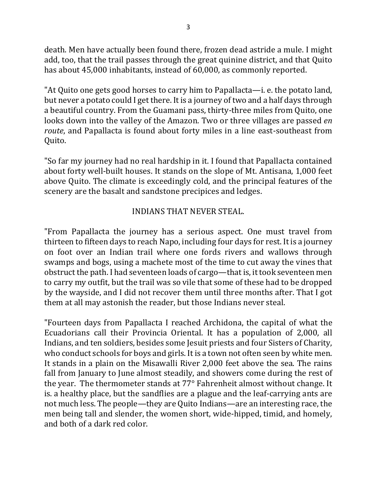death. Men have actually been found there, frozen dead astride a mule. I might add, too, that the trail passes through the great quinine district, and that Quito has about 45,000 inhabitants, instead of 60,000, as commonly reported.

"At Quito one gets good horses to carry him to Papallacta—i. e. the potato land, but never a potato could I get there. It is a journey of two and a half days through a beautiful country. From the Guamani pass, thirty-three miles from Quito, one looks down into the valley of the Amazon. Two or three villages are passed *en route*, and Papallacta is found about forty miles in a line east-southeast from Quito.

"So far my journey had no real hardship in it. I found that Papallacta contained about forty well-built houses. It stands on the slope of Mt. Antisana, 1,000 feet above Quito. The climate is exceedingly cold, and the principal features of the scenery are the basalt and sandstone precipices and ledges.

### INDIANS THAT NEVER STEAL.

"From Papallacta the journey has a serious aspect. One must travel from thirteen to fifteen days to reach Napo, including four days for rest. It is a journey on foot over an Indian trail where one fords rivers and wallows through swamps and bogs, using a machete most of the time to cut away the vines that obstruct the path. I had seventeen loads of cargo—that is, it took seventeen men to carry my outfit, but the trail was so vile that some of these had to be dropped by the wayside, and I did not recover them until three months after. That I got them at all may astonish the reader, but those Indians never steal.

"Fourteen days from Papallacta I reached Archidona, the capital of what the Ecuadorians call their Provincia Oriental. It has a population of 2,000, all Indians, and ten soldiers, besides some Jesuit priests and four Sisters of Charity, who conduct schools for boys and girls. It is a town not often seen by white men. It stands in a plain on the Misawalli River 2,000 feet above the sea. The rains fall from January to June almost steadily, and showers come during the rest of the year. The thermometer stands at 77° Fahrenheit almost without change. It is. a healthy place, but the sandflies are a plague and the leaf-carrying ants are not much less. The people—they are Quito Indians—are an interesting race, the men being tall and slender, the women short, wide-hipped, timid, and homely, and both of a dark red color.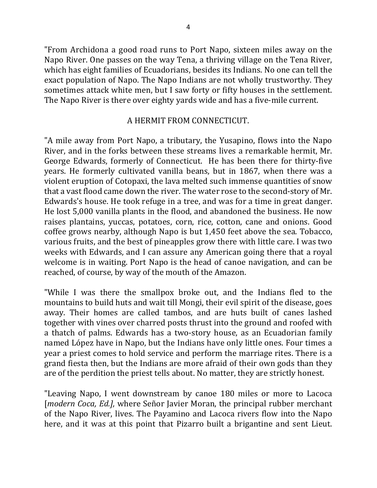"From Archidona a good road runs to Port Napo, sixteen miles away on the Napo River. One passes on the way Tena, a thriving village on the Tena River, which has eight families of Ecuadorians, besides its Indians. No one can tell the exact population of Napo. The Napo Indians are not wholly trustworthy. They sometimes attack white men, but I saw forty or fifty houses in the settlement. The Napo River is there over eighty yards wide and has a five-mile current.

#### A HERMIT FROM CONNECTICUT.

"A mile away from Port Napo, a tributary, the Yusapino, flows into the Napo River, and in the forks between these streams lives a remarkable hermit, Mr. George Edwards, formerly of Connecticut. He has been there for thirty-five years. He formerly cultivated vanilla beans, but in 1867, when there was a violent eruption of Cotopaxi, the lava melted such immense quantities of snow that a vast flood came down the river. The water rose to the second-story of Mr. Edwards's house. He took refuge in a tree, and was for a time in great danger. He lost 5,000 vanilla plants in the flood, and abandoned the business. He now raises plantains, yuccas, potatoes, corn, rice, cotton, cane and onions. Good coffee grows nearby, although Napo is but 1,450 feet above the sea. Tobacco, various fruits, and the best of pineapples grow there with little care. I was two weeks with Edwards, and I can assure any American going there that a royal welcome is in waiting. Port Napo is the head of canoe navigation, and can be reached, of course, by way of the mouth of the Amazon.

"While I was there the smallpox broke out, and the Indians fled to the mountains to build huts and wait till Mongi, their evil spirit of the disease, goes away. Their homes are called tambos, and are huts built of canes lashed together with vines over charred posts thrust into the ground and roofed with a thatch of palms. Edwards has a two-story house, as an Ecuadorian family named López have in Napo, but the Indians have only little ones. Four times a year a priest comes to hold service and perform the marriage rites. There is a grand fiesta then, but the Indians are more afraid of their own gods than they are of the perdition the priest tells about. No matter, they are strictly honest.

"Leaving Napo, I went downstream by canoe 180 miles or more to Lacoca [*modern Coca, Ed.]*, where Señor Javier Moran, the principal rubber merchant of the Napo River, lives. The Payamino and Lacoca rivers flow into the Napo here, and it was at this point that Pizarro built a brigantine and sent Lieut.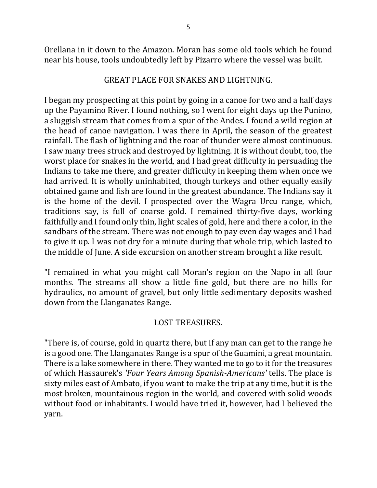Orellana in it down to the Amazon. Moran has some old tools which he found near his house, tools undoubtedly left by Pizarro where the vessel was built.

### GREAT PLACE FOR SNAKES AND LIGHTNING.

I began my prospecting at this point by going in a canoe for two and a half days up the Payamino River. I found nothing, so I went for eight days up the Punino, a sluggish stream that comes from a spur of the Andes. I found a wild region at the head of canoe navigation. I was there in April, the season of the greatest rainfall. The flash of lightning and the roar of thunder were almost continuous. I saw many trees struck and destroyed by lightning. It is without doubt, too, the worst place for snakes in the world, and I had great difficulty in persuading the Indians to take me there, and greater difficulty in keeping them when once we had arrived. It is wholly uninhabited, though turkeys and other equally easily obtained game and fish are found in the greatest abundance. The Indians say it is the home of the devil. I prospected over the Wagra Urcu range, which, traditions say, is full of coarse gold. I remained thirty-five days, working faithfully and I found only thin, light scales of gold, here and there a color, in the sandbars of the stream. There was not enough to pay even day wages and I had to give it up. I was not dry for a minute during that whole trip, which lasted to the middle of June. A side excursion on another stream brought a like result.

"I remained in what you might call Moran's region on the Napo in all four months. The streams all show a little fine gold, but there are no hills for hydraulics, no amount of gravel, but only little sedimentary deposits washed down from the Llanganates Range.

## LOST TREASURES.

"There is, of course, gold in quartz there, but if any man can get to the range he is a good one. The Llanganates Range is a spur of the Guamini, a great mountain. There is a lake somewhere in there. They wanted me to go to it for the treasures of which Hassaurek's *'Four Years Among Spanish-Americans'* tells. The place is sixty miles east of Ambato, if you want to make the trip at any time, but it is the most broken, mountainous region in the world, and covered with solid woods without food or inhabitants. I would have tried it, however, had I believed the yarn.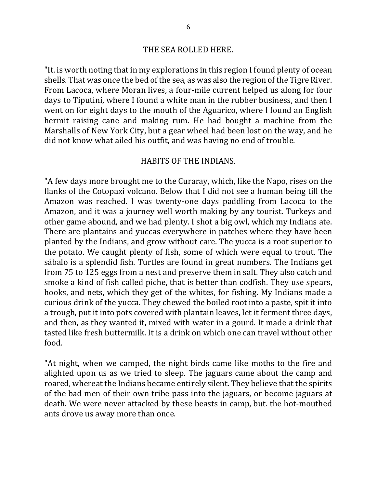"It. is worth noting that in my explorations in this region I found plenty of ocean shells. That was once the bed of the sea, as was also the region of the Tigre River. From Lacoca, where Moran lives, a four-mile current helped us along for four days to Tiputini, where I found a white man in the rubber business, and then I went on for eight days to the mouth of the Aguarico, where I found an English hermit raising cane and making rum. He had bought a machine from the Marshalls of New York City, but a gear wheel had been lost on the way, and he did not know what ailed his outfit, and was having no end of trouble.

#### HABITS OF THE INDIANS.

"A few days more brought me to the Curaray, which, like the Napo, rises on the flanks of the Cotopaxi volcano. Below that I did not see a human being till the Amazon was reached. I was twenty-one days paddling from Lacoca to the Amazon, and it was a journey well worth making by any tourist. Turkeys and other game abound, and we had plenty. I shot a big owl, which my Indians ate. There are plantains and yuccas everywhere in patches where they have been planted by the Indians, and grow without care. The yucca is a root superior to the potato. We caught plenty of fish, some of which were equal to trout. The sábalo is a splendid fish. Turtles are found in great numbers. The Indians get from 75 to 125 eggs from a nest and preserve them in salt. They also catch and smoke a kind of fish called piche, that is better than codfish. They use spears, hooks, and nets, which they get of the whites, for fishing. My Indians made a curious drink of the yucca. They chewed the boiled root into a paste, spit it into a trough, put it into pots covered with plantain leaves, let it ferment three days, and then, as they wanted it, mixed with water in a gourd. It made a drink that tasted like fresh buttermilk. It is a drink on which one can travel without other food.

"At night, when we camped, the night birds came like moths to the fire and alighted upon us as we tried to sleep. The jaguars came about the camp and roared, whereat the Indians became entirely silent. They believe that the spirits of the bad men of their own tribe pass into the jaguars, or become jaguars at death. We were never attacked by these beasts in camp, but. the hot-mouthed ants drove us away more than once.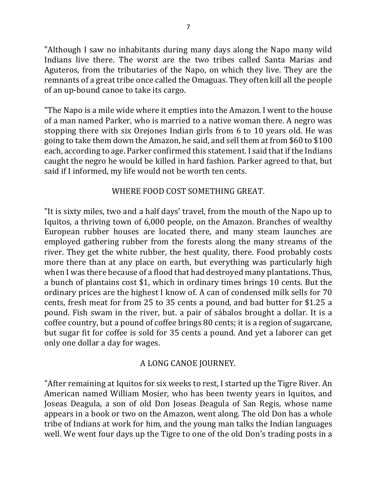"Although I saw no inhabitants during many days along the Napo many wild Indians live there. The worst are the two tribes called Santa Marias and Aguteros, from the tributaries of the Napo, on which they live. They are the remnants of a great tribe once called the Omaguas. They often kill all the people of an up-bound canoe to take its cargo.

"The Napo is a mile wide where it empties into the Amazon. I went to the house of a man named Parker, who is married to a native woman there. A negro was stopping there with six Orejones Indian girls from 6 to 10 years old. He was going to take them down the Amazon, he said, and sell them at from \$60 to \$100 each, according to age. Parker confirmed this statement. I said that if the Indians caught the negro he would be killed in hard fashion. Parker agreed to that, but said if I informed, my life would not be worth ten cents.

### WHERE FOOD COST SOMETHING GREAT.

"It is sixty miles, two and a half days' travel, from the mouth of the Napo up to Iquitos, a thriving town of 6,000 people, on the Amazon. Branches of wealthy European rubber houses are located there, and many steam launches are employed gathering rubber from the forests along the many streams of the river. They get the white rubber, the best quality, there. Food probably costs more there than at any place on earth, but everything was particularly high when I was there because of a flood that had destroyed many plantations. Thus, a bunch of plantains cost \$1, which in ordinary times brings 10 cents. But the ordinary prices are the highest I know of. A can of condensed milk sells for 70 cents, fresh meat for from 25 to 35 cents a pound, and bad butter for \$1.25 a pound. Fish swam in the river, but. a pair of sábalos brought a dollar. It is a coffee country, but a pound of coffee brings 80 cents; it is a region of sugarcane, but sugar fit for coffee is sold for 35 cents a pound. And yet a laborer can get only one dollar a day for wages.

## A LONG CANOE JOURNEY.

"After remaining at Iquitos for six weeks to rest, I started up the Tigre River. An American named William Mosier, who has been twenty years in Iquitos, and Joseas Deagula, a son of old Don Joseas Deagula of San Regis, whose name appears in a book or two on the Amazon, went along. The old Don has a whole tribe of Indians at work for him, and the young man talks the Indian languages well. We went four days up the Tigre to one of the old Don's trading posts in a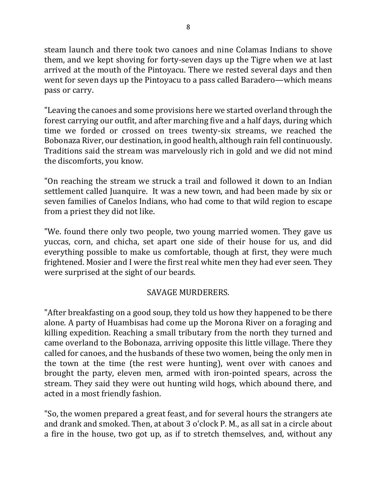steam launch and there took two canoes and nine Colamas Indians to shove them, and we kept shoving for forty-seven days up the Tigre when we at last arrived at the mouth of the Pintoyacu. There we rested several days and then went for seven days up the Pintoyacu to a pass called Baradero—which means pass or carry.

"Leaving the canoes and some provisions here we started overland through the forest carrying our outfit, and after marching five and a half days, during which time we forded or crossed on trees twenty-six streams, we reached the Bobonaza River, our destination, in good health, although rain fell continuously. Traditions said the stream was marvelously rich in gold and we did not mind the discomforts, you know.

"On reaching the stream we struck a trail and followed it down to an Indian settlement called Juanquire. It was a new town, and had been made by six or seven families of Canelos Indians, who had come to that wild region to escape from a priest they did not like.

"We. found there only two people, two young married women. They gave us yuccas, corn, and chicha, set apart one side of their house for us, and did everything possible to make us comfortable, though at first, they were much frightened. Mosier and I were the first real white men they had ever seen. They were surprised at the sight of our beards.

# SAVAGE MURDERERS.

"After breakfasting on a good soup, they told us how they happened to be there alone. A party of Huambisas had come up the Morona River on a foraging and killing expedition. Reaching a small tributary from the north they turned and came overland to the Bobonaza, arriving opposite this little village. There they called for canoes, and the husbands of these two women, being the only men in the town at the time (the rest were hunting), went over with canoes and brought the party, eleven men, armed with iron-pointed spears, across the stream. They said they were out hunting wild hogs, which abound there, and acted in a most friendly fashion.

"So, the women prepared a great feast, and for several hours the strangers ate and drank and smoked. Then, at about 3 o'clock P. M., as all sat in a circle about a fire in the house, two got up, as if to stretch themselves, and, without any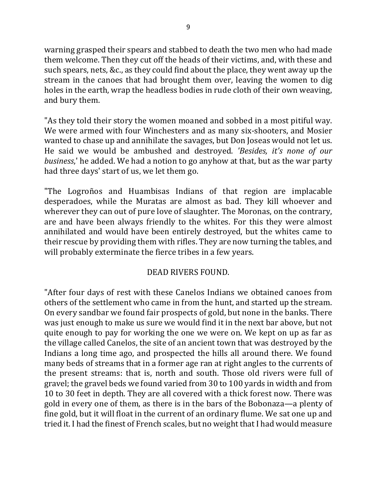warning grasped their spears and stabbed to death the two men who had made them welcome. Then they cut off the heads of their victims, and, with these and such spears, nets, &c., as they could find about the place, they went away up the stream in the canoes that had brought them over, leaving the women to dig holes in the earth, wrap the headless bodies in rude cloth of their own weaving, and bury them.

"As they told their story the women moaned and sobbed in a most pitiful way. We were armed with four Winchesters and as many six-shooters, and Mosier wanted to chase up and annihilate the savages, but Don Joseas would not let us. He said we would be ambushed and destroyed. *'Besides, it's none of our business*,' he added. We had a notion to go anyhow at that, but as the war party had three days' start of us, we let them go.

"The Logroños and Huambisas Indians of that region are implacable desperadoes, while the Muratas are almost as bad. They kill whoever and wherever they can out of pure love of slaughter. The Moronas, on the contrary, are and have been always friendly to the whites. For this they were almost annihilated and would have been entirely destroyed, but the whites came to their rescue by providing them with rifles. They are now turning the tables, and will probably exterminate the fierce tribes in a few years.

## DEAD RIVERS FOUND.

"After four days of rest with these Canelos Indians we obtained canoes from others of the settlement who came in from the hunt, and started up the stream. On every sandbar we found fair prospects of gold, but none in the banks. There was just enough to make us sure we would find it in the next bar above, but not quite enough to pay for working the one we were on. We kept on up as far as the village called Canelos, the site of an ancient town that was destroyed by the Indians a long time ago, and prospected the hills all around there. We found many beds of streams that in a former age ran at right angles to the currents of the present streams: that is, north and south. Those old rivers were full of gravel; the gravel beds we found varied from 30 to 100 yards in width and from 10 to 30 feet in depth. They are all covered with a thick forest now. There was gold in every one of them, as there is in the bars of the Bobonaza—a plenty of fine gold, but it will float in the current of an ordinary flume. We sat one up and tried it. I had the finest of French scales, but no weight that I had would measure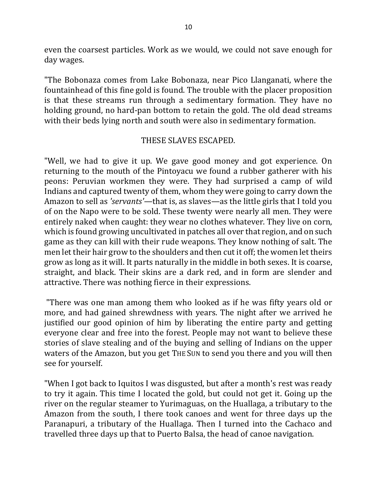even the coarsest particles. Work as we would, we could not save enough for day wages.

"The Bobonaza comes from Lake Bobonaza, near Pico Llanganati, where the fountainhead of this fine gold is found. The trouble with the placer proposition is that these streams run through a sedimentary formation. They have no holding ground, no hard-pan bottom to retain the gold. The old dead streams with their beds lying north and south were also in sedimentary formation.

#### THESE SLAVES ESCAPED.

"Well, we had to give it up. We gave good money and got experience. On returning to the mouth of the Pintoyacu we found a rubber gatherer with his peons: Peruvian workmen they were. They had surprised a camp of wild Indians and captured twenty of them, whom they were going to carry down the Amazon to sell as *'servants'*—that is, as slaves—as the little girls that I told you of on the Napo were to be sold. These twenty were nearly all men. They were entirely naked when caught: they wear no clothes whatever. They live on corn, which is found growing uncultivated in patches all over that region, and on such game as they can kill with their rude weapons. They know nothing of salt. The men let their hair grow to the shoulders and then cut it off; the women let theirs grow as long as it will. It parts naturally in the middle in both sexes. It is coarse, straight, and black. Their skins are a dark red, and in form are slender and attractive. There was nothing fierce in their expressions.

"There was one man among them who looked as if he was fifty years old or more, and had gained shrewdness with years. The night after we arrived he justified our good opinion of him by liberating the entire party and getting everyone clear and free into the forest. People may not want to believe these stories of slave stealing and of the buying and selling of Indians on the upper waters of the Amazon, but you get THE SUN to send you there and you will then see for yourself.

"When I got back to Iquitos I was disgusted, but after a month's rest was ready to try it again. This time I located the gold, but could not get it. Going up the river on the regular steamer to Yurimaguas, on the Huallaga, a tributary to the Amazon from the south, I there took canoes and went for three days up the Paranapuri, a tributary of the Huallaga. Then I turned into the Cachaco and travelled three days up that to Puerto Balsa, the head of canoe navigation.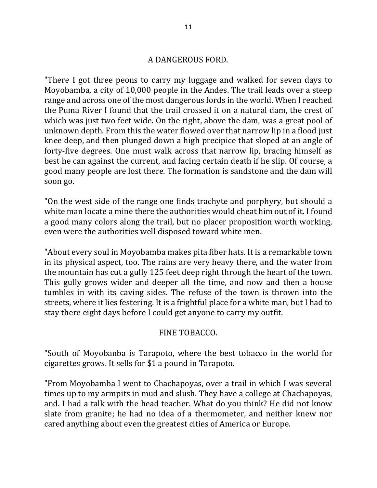#### A DANGEROUS FORD.

"There I got three peons to carry my luggage and walked for seven days to Moyobamba, a city of 10,000 people in the Andes. The trail leads over a steep range and across one of the most dangerous fords in the world. When I reached the Puma River I found that the trail crossed it on a natural dam, the crest of which was just two feet wide. On the right, above the dam, was a great pool of unknown depth. From this the water flowed over that narrow lip in a flood just knee deep, and then plunged down a high precipice that sloped at an angle of forty-five degrees. One must walk across that narrow lip, bracing himself as best he can against the current, and facing certain death if he slip. Of course, a good many people are lost there. The formation is sandstone and the dam will soon go.

"On the west side of the range one finds trachyte and porphyry, but should a white man locate a mine there the authorities would cheat him out of it. I found a good many colors along the trail, but no placer proposition worth working, even were the authorities well disposed toward white men.

"About every soul in Moyobamba makes pita fiber hats. It is a remarkable town in its physical aspect, too. The rains are very heavy there, and the water from the mountain has cut a gully 125 feet deep right through the heart of the town. This gully grows wider and deeper all the time, and now and then a house tumbles in with its caving sides. The refuse of the town is thrown into the streets, where it lies festering. It is a frightful place for a white man, but I had to stay there eight days before I could get anyone to carry my outfit.

### FINE TOBACCO.

"South of Moyobanba is Tarapoto, where the best tobacco in the world for cigarettes grows. It sells for \$1 a pound in Tarapoto.

"From Moyobamba I went to Chachapoyas, over a trail in which I was several times up to my armpits in mud and slush. They have a college at Chachapoyas, and. I had a talk with the head teacher. What do you think? He did not know slate from granite; he had no idea of a thermometer, and neither knew nor cared anything about even the greatest cities of America or Europe.